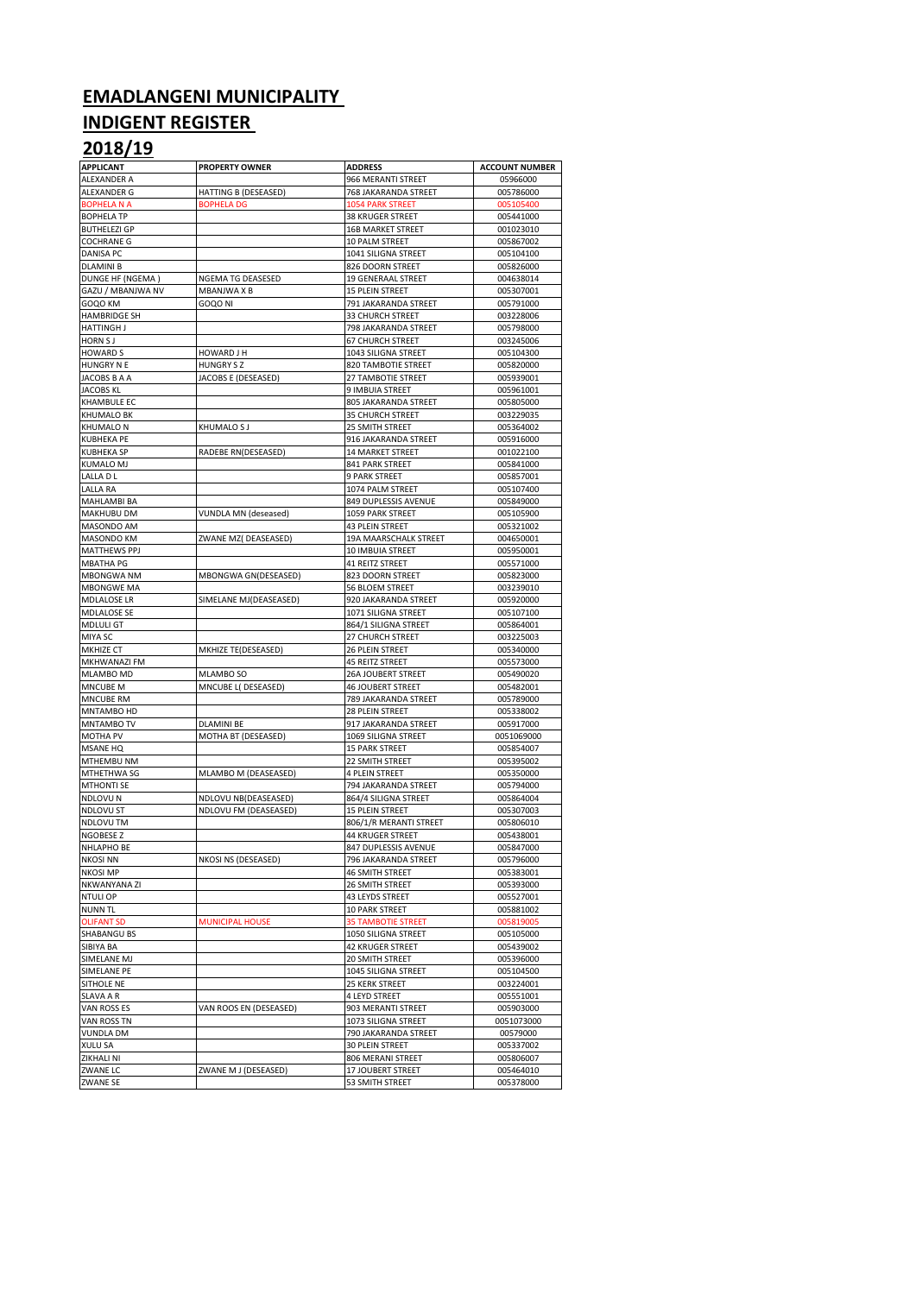### **EMADLANGENI MUNICIPALITY**

#### **INDIGENT REGISTER**

## **2018/19**

| <b>APPLICANT</b>                | <b>PROPERTY OWNER</b>  | <b>ADDRESS</b>                                  | <b>ACCOUNT NUMBER</b>  |
|---------------------------------|------------------------|-------------------------------------------------|------------------------|
| ALEXANDER A                     |                        | 966 MERANTI STREET                              | 05966000               |
| ALEXANDER G                     | HATTING B (DESEASED)   | 768 JAKARANDA STREET                            | 005786000              |
| <b>BOPHELA N A</b>              | <b>BOPHELA DG</b>      | <b>1054 PARK STREET</b>                         | 005105400              |
| <b>BOPHELA TP</b>               |                        | <b>38 KRUGER STREET</b>                         | 005441000              |
| <b>BUTHELEZI GP</b>             |                        | <b>16B MARKET STREET</b>                        | 001023010              |
| <b>COCHRANE G</b>               |                        | 10 PALM STREET                                  | 005867002              |
| DANISA PC                       |                        | 1041 SILIGNA STREET                             | 005104100              |
| <b>DLAMINI B</b>                |                        | 826 DOORN STREET                                | 005826000              |
| DUNGE HF (NGEMA)                | NGEMA TG DEASESED      | 19 GENERAAL STREET                              | 004638014              |
| GAZU / MBANJWA NV               | MBANJWA X B            | 15 PLEIN STREET                                 | 005307001              |
| GOQO KM<br><b>HAMBRIDGE SH</b>  | GOQO NI                | 791 JAKARANDA STREET<br><b>33 CHURCH STREET</b> | 005791000<br>003228006 |
| HATTINGH J                      |                        | 798 JAKARANDA STREET                            | 005798000              |
| <b>HORN SJ</b>                  |                        | <b>67 CHURCH STREET</b>                         | 003245006              |
| <b>HOWARD S</b>                 | HOWARD J H             | 1043 SILIGNA STREET                             | 005104300              |
| HUNGRY N E                      | <b>HUNGRY SZ</b>       | 820 TAMBOTIE STREET                             | 005820000              |
| JACOBS B A A                    | JACOBS E (DESEASED)    | 27 TAMBOTIE STREET                              | 005939001              |
| <b>JACOBS KL</b>                |                        | 9 IMBUIA STREET                                 | 005961001              |
| <b>KHAMBULE EC</b>              |                        | 805 JAKARANDA STREET                            | 005805000              |
| <b>KHUMALO BK</b>               |                        | <b>35 CHURCH STREET</b>                         | 003229035              |
| <b>KHUMALO N</b>                | <b>KHUMALO SJ</b>      | 25 SMITH STREET                                 | 005364002              |
| <b>KUBHEKA PE</b>               |                        | 916 JAKARANDA STREET                            | 005916000              |
| <b>KUBHEKA SP</b>               | RADEBE RN(DESEASED)    | <b>14 MARKET STREET</b>                         | 001022100              |
| <b>KUMALO MJ</b>                |                        | 841 PARK STREET                                 | 005841000              |
| LALLA D L                       |                        | <b>9 PARK STREET</b>                            | 005857001              |
| LALLA RA                        |                        | 1074 PALM STREET                                | 005107400              |
| MAHLAMBI BA                     |                        | 849 DUPLESSIS AVENUE                            | 005849000              |
| MAKHUBU DM                      | VUNDLA MN (deseased)   | 1059 PARK STREET                                | 005105900              |
| MASONDO AM                      |                        | 43 PLEIN STREET                                 | 005321002              |
| MASONDO KM                      | ZWANE MZ( DEASEASED)   | 19A MAARSCHALK STREET                           | 004650001              |
| <b>MATTHEWS PPJ</b>             |                        | 10 IMBUIA STREET                                | 005950001              |
| <b>MBATHA PG</b>                |                        | 41 REITZ STREET                                 | 005571000              |
| <b>MBONGWA NM</b>               | MBONGWA GN(DESEASED)   | 823 DOORN STREET                                | 005823000              |
| <b>MBONGWE MA</b>               |                        | 56 BLOEM STREET                                 | 003239010              |
| <b>MDLALOSE LR</b>              | SIMELANE MJ(DEASEASED) | 920 JAKARANDA STREET                            | 005920000              |
| <b>MDLALOSE SE</b>              |                        | 1071 SILIGNA STREET                             | 005107100              |
| MDLULI GT<br>MIYA SC            |                        | 864/1 SILIGNA STREET                            | 005864001<br>003225003 |
| MKHIZE CT                       | MKHIZE TE(DESEASED)    | 27 CHURCH STREET<br>26 PLEIN STREET             | 005340000              |
| MKHWANAZI FM                    |                        | 45 REITZ STREET                                 | 005573000              |
| MLAMBO MD                       | MLAMBO SO              | 26A JOUBERT STREET                              | 005490020              |
| <b>MNCUBE M</b>                 | MNCUBE L( DESEASED)    | <b>46 JOUBERT STREET</b>                        | 005482001              |
| MNCUBE RM                       |                        | 789 JAKARANDA STREET                            | 005789000              |
| MNTAMBO HD                      |                        | 28 PLEIN STREET                                 | 005338002              |
| MNTAMBO TV                      | <b>DLAMINI BE</b>      | 917 JAKARANDA STREET                            | 005917000              |
| <b>MOTHA PV</b>                 | MOTHA BT (DESEASED)    | 1069 SILIGNA STREET                             | 0051069000             |
| MSANE HQ                        |                        | <b>15 PARK STREET</b>                           | 005854007              |
| MTHEMBU NM                      |                        | 22 SMITH STREET                                 | 005395002              |
| MTHETHWA SG                     | MLAMBO M (DEASEASED)   | <b>4 PLEIN STREET</b>                           | 005350000              |
| <b>MTHONTI SE</b>               |                        | 794 JAKARANDA STREET                            | 005794000              |
| NDLOVU N                        | NDLOVU NB(DEASEASED)   | 864/4 SILIGNA STREET                            | 005864004              |
| <b>NDLOVU ST</b>                | NDLOVU FM (DEASEASED)  | 15 PLEIN STREET                                 | 005307003              |
| NDLOVU TM                       |                        | 806/1/R MERANTI STREET                          | 005806010              |
| NGOBESE Z                       |                        | 44 KRUGER STREET                                | 005438001              |
| NHLAPHO BE                      |                        | 847 DUPLESSIS AVENUE                            | 005847000              |
| <b>NKOSI NN</b>                 | NKOSI NS (DESEASED)    | 796 JAKARANDA STREET                            | 005796000              |
| <b>NKOSI MP</b>                 |                        | <b>46 SMITH STREET</b>                          | 005383001              |
| NKWANYANA ZI                    |                        | 26 SMITH STREET                                 | 005393000              |
| <b>NTULI OP</b>                 |                        | 43 LEYDS STREET                                 | 005527001              |
| <b>NUNN TL</b>                  |                        | 10 PARK STREET                                  | 005881002              |
| <b>OLIFANT SD</b>               | <b>MUNICIPAL HOUSE</b> | <b>35 TAMBOTIE STREET</b>                       | 005819005              |
| SHABANGU BS                     |                        | 1050 SILIGNA STREET                             | 005105000              |
| SIBIYA BA                       |                        | 42 KRUGER STREET                                | 005439002              |
| SIMELANE MJ                     |                        | 20 SMITH STREET                                 | 005396000              |
| SIMELANE PE                     |                        | 1045 SILIGNA STREET                             | 005104500              |
| SITHOLE NE                      |                        | 25 KERK STREET                                  | 003224001              |
| SLAVA A R                       |                        | 4 LEYD STREET                                   | 005551001              |
| VAN ROSS ES                     | VAN ROOS EN (DESEASED) | 903 MERANTI STREET<br>1073 SILIGNA STREET       | 005903000              |
| VAN ROSS TN<br><b>VUNDLA DM</b> |                        | 790 JAKARANDA STREET                            | 0051073000<br>00579000 |
| <b>XULU SA</b>                  |                        | 30 PLEIN STREET                                 | 005337002              |
| ZIKHALI NI                      |                        | 806 MERANI STREET                               | 005806007              |
| ZWANE LC                        | ZWANE M J (DESEASED)   | 17 JOUBERT STREET                               | 005464010              |
| <b>ZWANE SE</b>                 |                        | 53 SMITH STREET                                 | 005378000              |
|                                 |                        |                                                 |                        |